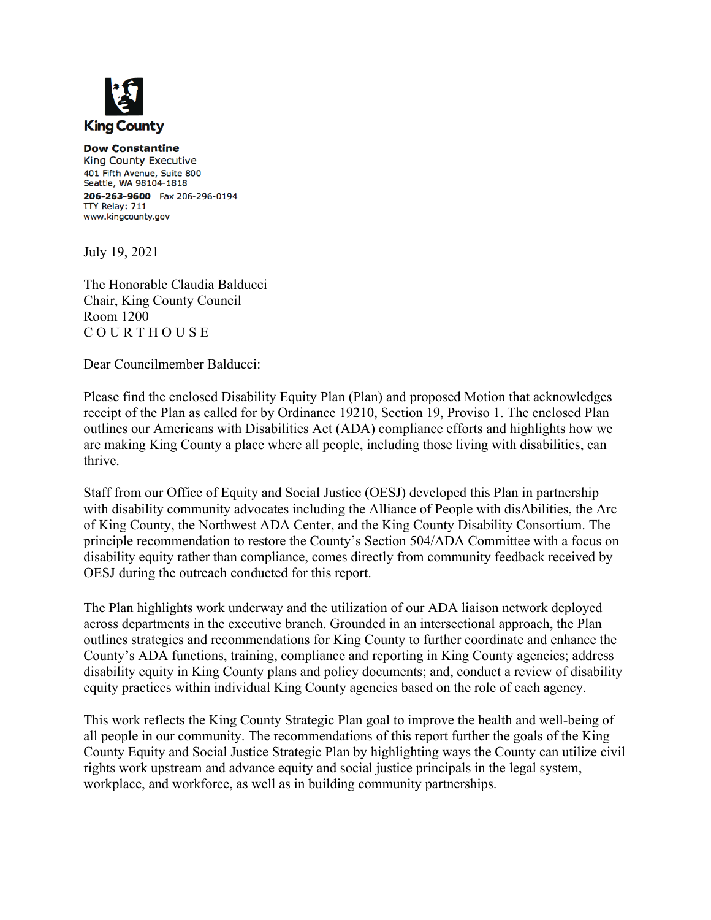

**Dow Constantine** King County Executive 401 Fifth Avenue, Suite 800 Seattle, WA 98104-1818 206-263-9600 Fax 206-296-0194 TTY Relay: 711 www.kingcounty.gov

July 19, 2021

The Honorable Claudia Balducci Chair, King County Council Room 1200 C O U R T H O U S E

Dear Councilmember Balducci:

Please find the enclosed Disability Equity Plan (Plan) and proposed Motion that acknowledges receipt of the Plan as called for by Ordinance 19210, Section 19, Proviso 1. The enclosed Plan outlines our Americans with Disabilities Act (ADA) compliance efforts and highlights how we are making King County a place where all people, including those living with disabilities, can thrive.

Staff from our Office of Equity and Social Justice (OESJ) developed this Plan in partnership with disability community advocates including the Alliance of People with disAbilities, the Arc of King County, the Northwest ADA Center, and the King County Disability Consortium. The principle recommendation to restore the County's Section 504/ADA Committee with a focus on disability equity rather than compliance, comes directly from community feedback received by OESJ during the outreach conducted for this report.

The Plan highlights work underway and the utilization of our ADA liaison network deployed across departments in the executive branch. Grounded in an intersectional approach, the Plan outlines strategies and recommendations for King County to further coordinate and enhance the County's ADA functions, training, compliance and reporting in King County agencies; address disability equity in King County plans and policy documents; and, conduct a review of disability equity practices within individual King County agencies based on the role of each agency.

This work reflects the King County Strategic Plan goal to improve the health and well-being of all people in our community. The recommendations of this report further the goals of the King County Equity and Social Justice Strategic Plan by highlighting ways the County can utilize civil rights work upstream and advance equity and social justice principals in the legal system, workplace, and workforce, as well as in building community partnerships.